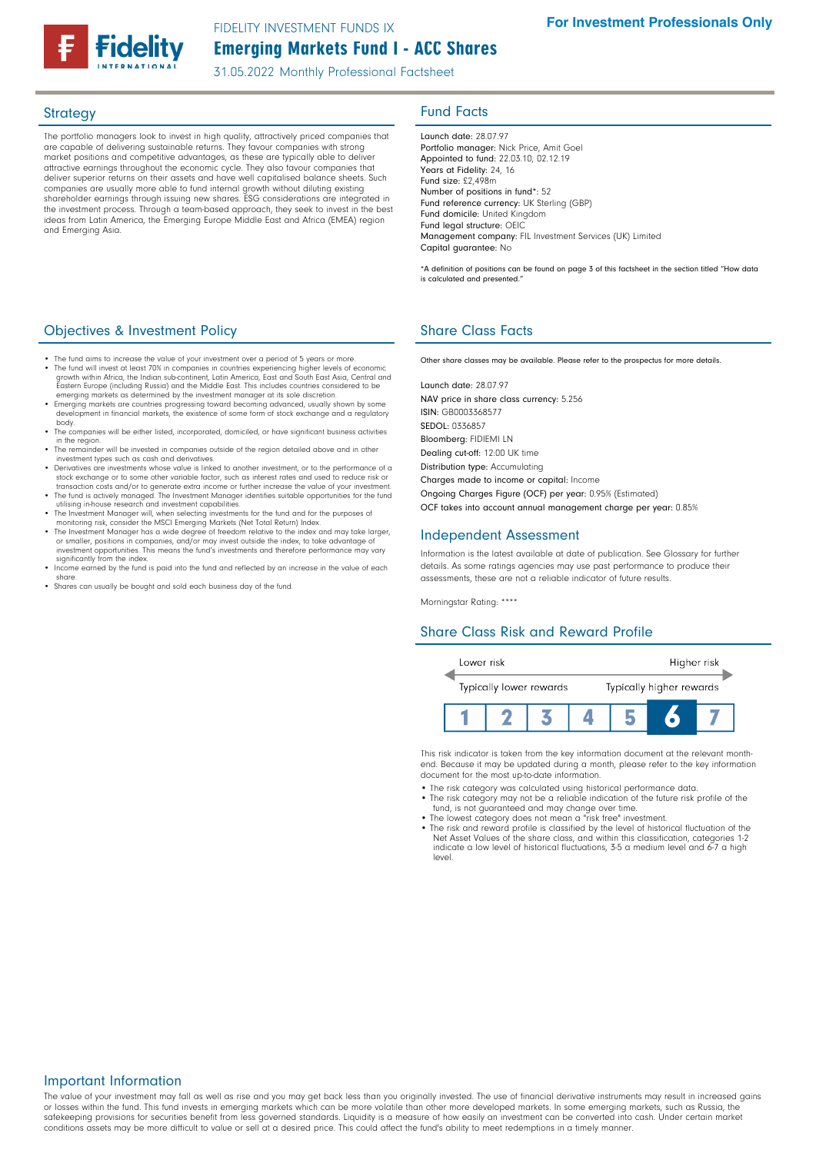

# Emerging Markets Fund I - ACC Shares FIDELITY INVESTMENT FUNDS IX

31.05.2022 Monthly Professional Factsheet

The portfolio managers look to invest in high quality, attractively priced companies that are capable of delivering sustainable returns. They favour companies with strong market positions and competitive advantages, as these are typically able to deliver attractive earnings throughout the economic cycle. They also favour companies that deliver superior returns on their assets and have well capitalised balance sheets. Such companies are usually more able to fund internal growth without diluting existing shareholder earnings through issuing new shares. ESG considerations are integrated in the investment process. Through a team-based approach, they seek to invest in the best ideas from Latin America, the Emerging Europe Middle East and Africa (EMEA) region and Emerging Asia.

# Strategy **Fund Facts**

Launch date: 28.07.97 Portfolio manager: Nick Price, Amit Goel Appointed to fund: 22.03.10, 02.12.19 Years at Fidelity: 24, 16 Fund size: £2,498m Number of positions in fund\*: 52 Fund reference currency: UK Sterling (GBP) Fund domicile: United Kingdom Fund legal structure: OEIC Management company: FIL Investment Services (UK) Limited Capital guarantee: No

\*A definition of positions can be found on page 3 of this factsheet in the section titled "How data is calculated and presented."

## **Objectives & Investment Policy Share Class Facts** Share Class Facts

- The fund aims to increase the value of your investment over a period of 5 years or more.<br>The fund will invest at least 70% in companies in countries experiencing higher levels of economic<br>growth within Africa, the Indian
- 
- development in financial markets, the existence of some form of stock exchange and a regulatory body. The companies will be either listed, incorporated, domiciled, or have significant business activities
- in the region. The remainder will be invested in companies outside of the region detailed above and in other
- investment types such as cash and derivatives.
- Derivatives are investments whose value is linked to another investment, or to the performance of a stock exchange or to some other variable factor, such as interest rates and used to reduce risk or
- transaction costs and/or to generate extra income or further increase the value of your investment. The fund is actively managed. The Investment Manager identifies suitable opportunities for the fund utilising in-house research and investment capabilities.
- The Investment Manager will, when selecting investments for the fund and for the purposes of monitoring risk, consider the MSCI Emerging Markets (Net Total Return) Index.
- The Investment Manager has a wide degree of freedom relative to the index and may take larger,<br>or smaller, positions in companies, and/or may invest outside the index, to take advantage of<br>investment opportunities. This significantly from the index
- Income earned by the fund is paid into the fund and reflected by an increase in the value of each share.
- Shares can usually be bought and sold each business day of the fund.

Other share classes may be available. Please refer to the prospectus for more details.

Launch date: 28.07.97 NAV price in share class currency: 5.256 ISIN: GB0003368577 SEDOL: 0336857 Bloomberg: FIDIEMI LN Dealing cut-off: 12:00 UK time Distribution type: Accumulating Charges made to income or capital: Income Ongoing Charges Figure (OCF) per year: 0.95% (Estimated)

OCF takes into account annual management charge per year: 0.85%

### Independent Assessment

Information is the latest available at date of publication. See Glossary for further details. As some ratings agencies may use past performance to produce their assessments, these are not a reliable indicator of future results.

Morningstar Rating: \*\*\*\*

### Share Class Risk and Reward Profile



This risk indicator is taken from the key information document at the relevant monthend. Because it may be updated during a month, please refer to the key information document for the most up-to-date information.

- The risk category was calculated using historical performance data.
- The risk category may not be a reliable indication of the future risk profile of the fund, is not guaranteed and may change over time.
- The lowest category does not mean a "risk free" investment. The risk and reward profile is classified by the level of historical fluctuation of the
- Net Asset Values of the share class, and within this classification, categories 1-2 indicate a low level of historical fluctuations, 3-5 a medium level and 6-7 a high level.

#### Important Information

The value of your investment may fall as well as rise and you may get back less than you originally invested. The use of financial derivative instruments may result in increased gains or losses within the fund. This fund invests in emerging markets which can be more volatile than other more developed markets. In some emerging markets, such as Russia, the safekeeping provisions for securities benefit from less governed standards. Liquidity is a measure of how easily an investment can be converted into cash. Under certain market conditions assets may be more difficult to value or sell at a desired price. This could affect the fund's ability to meet redemptions in a timely manner.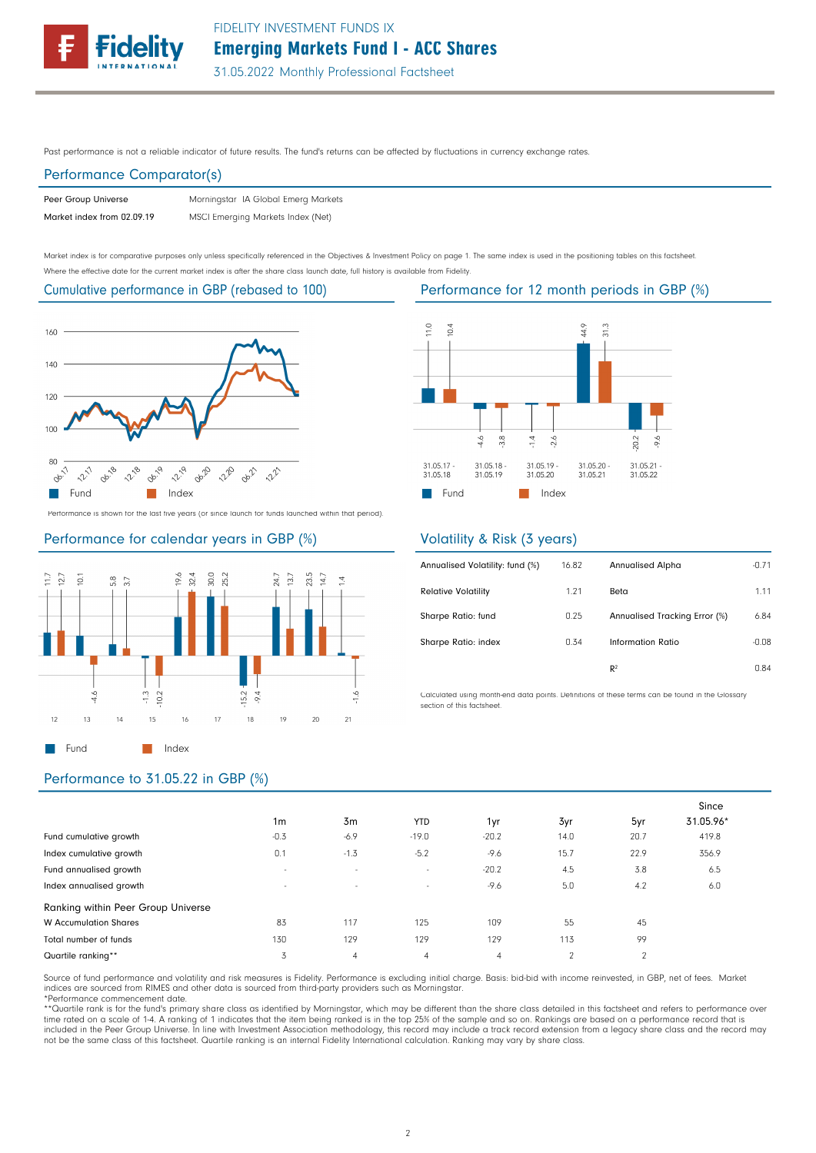

Past performance is not a reliable indicator of future results. The fund's returns can be affected by fluctuations in currency exchange rates.

### Performance Comparator(s)

| Peer Group Universe        | Morningstar IA Global Emerg Markets |
|----------------------------|-------------------------------------|
| Market index from 02.09.19 | MSCI Emerging Markets Index (Net)   |

Market index is for comparative purposes only unless specifically referenced in the Objectives & Investment Policy on page 1. The same index is used in the positioning tables on this factsheet. Where the effective date for the current market index is after the share class launch date, full history is available from Fidelity.

Cumulative performance in GBP (rebased to 100)



Performance is shown for the last five years (or since launch for funds launched within that period).







# Volatility & Risk (3 years)

| Annualised Volatility: fund (%) | 16.82 | Annualised Alpha              | $-0.71$ |
|---------------------------------|-------|-------------------------------|---------|
| <b>Relative Volatility</b>      | 1.21  | Beta                          | 1.11    |
| Sharpe Ratio: fund              | 0.25  | Annualised Tracking Error (%) | 6.84    |
| Sharpe Ratio: index             | 0.34  | Information Ratio             | $-0.08$ |
|                                 |       | R <sup>2</sup>                | 0.84    |

Calculated using month-end data points. Definitions of these terms can be found in the Glossary section of this factsheet.

# Performance to 31.05.22 in GBP (%)

|                                    | 1 <sub>m</sub> | 3m             | <b>YTD</b>     | 1yr     | 3yr            | 5yr    | Since<br>31.05.96* |
|------------------------------------|----------------|----------------|----------------|---------|----------------|--------|--------------------|
| Fund cumulative growth             | $-0.3$         | $-6.9$         | $-19.0$        | $-20.2$ | 14.0           | 20.7   | 419.8              |
| Index cumulative growth            | 0.1            | $-1.3$         | $-5.2$         | $-9.6$  | 15.7           | 22.9   | 356.9              |
| Fund annualised growth             | $\sim$         | $\sim$         | $\sim$         | $-20.2$ | 4.5            | 3.8    | 6.5                |
| Index annualised growth            | $\sim$         | $\sim$         | $\sim$         | $-9.6$  | 5.0            | 4.2    | 6.0                |
| Ranking within Peer Group Universe |                |                |                |         |                |        |                    |
| <b>W</b> Accumulation Shares       | 83             | 117            | 125            | 109     | 55             | 45     |                    |
| Total number of funds              | 130            | 129            | 129            | 129     | 113            | 99     |                    |
| Quartile ranking**                 | 3              | $\overline{4}$ | $\overline{4}$ | 4       | $\mathfrak{p}$ | $\sim$ |                    |

Source of fund performance and volatility and risk measures is Fidelity. Performance is excluding initial charge. Basis: bid-bid with income reinvested, in GBP, net of fees. Market indices are sourced from RIMES and other data is sourced from third-party providers such as Morningstar. \*Performance commencement date.

\*\*Quartile rank is for the fund's primary share class as identified by Morningstar, which may be different than the share class detailed in this factsheet and refers to performance over<br>time rated on a scale of 1-4. A rank not be the same class of this factsheet. Quartile ranking is an internal Fidelity International calculation. Ranking may vary by share class.

Performance for 12 month periods in GBP (%)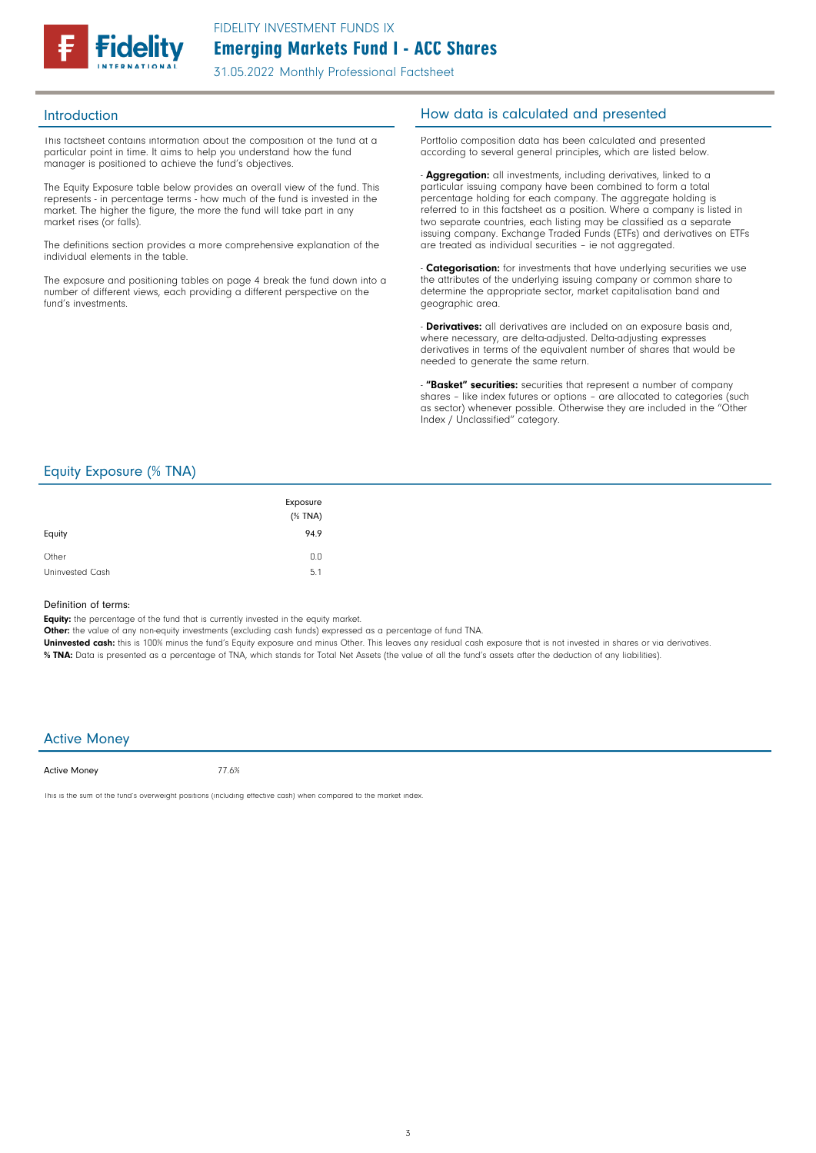

31.05.2022 Monthly Professional Factsheet

This factsheet contains information about the composition of the fund at a particular point in time. It aims to help you understand how the fund manager is positioned to achieve the fund's objectives.

The Equity Exposure table below provides an overall view of the fund. This represents - in percentage terms - how much of the fund is invested in the market. The higher the figure, the more the fund will take part in any market rises (or falls).

The definitions section provides a more comprehensive explanation of the individual elements in the table.

The exposure and positioning tables on page 4 break the fund down into a number of different views, each providing a different perspective on the fund's investments.

## Introduction **Introduction How data is calculated and presented**

Portfolio composition data has been calculated and presented according to several general principles, which are listed below.

- **Aggregation:** all investments, including derivatives, linked to a particular issuing company have been combined to form a total percentage holding for each company. The aggregate holding is referred to in this factsheet as a position. Where a company is listed in two separate countries, each listing may be classified as a separate issuing company. Exchange Traded Funds (ETFs) and derivatives on ETFs are treated as individual securities – ie not aggregated.

**Categorisation:** for investments that have underlying securities we use the attributes of the underlying issuing company or common share to determine the appropriate sector, market capitalisation band and geographic area.

- **Derivatives:** all derivatives are included on an exposure basis and, where necessary, are delta-adjusted. Delta-adjusting expresses derivatives in terms of the equivalent number of shares that would be needed to generate the same return.

"Basket" securities: securities that represent a number of company shares - like index futures or options - are allocated to categories (such as sector) whenever possible. Otherwise they are included in the "Other Index / Unclassified" category.

## Equity Exposure (% TNA)

| Equity          | Exposure<br>$(%$ (% TNA)<br>94.9 |
|-----------------|----------------------------------|
| Other           | 0.0                              |
| Uninvested Cash | 5.1                              |

#### Definition of terms:

Equity: the percentage of the fund that is currently invested in the equity market.

Other: the value of any non-equity investments (excluding cash funds) expressed as a percentage of fund TNA.

Uninvested cash: this is 100% minus the fund's Equity exposure and minus Other. This leaves any residual cash exposure that is not invested in shares or via derivatives. % TNA: Data is presented as a percentage of TNA, which stands for Total Net Assets (the value of all the fund's assets after the deduction of any liabilities).

### Active Money

Active Money

77.6%

This is the sum of the fund's overweight positions (including effective cash) when compared to the market index.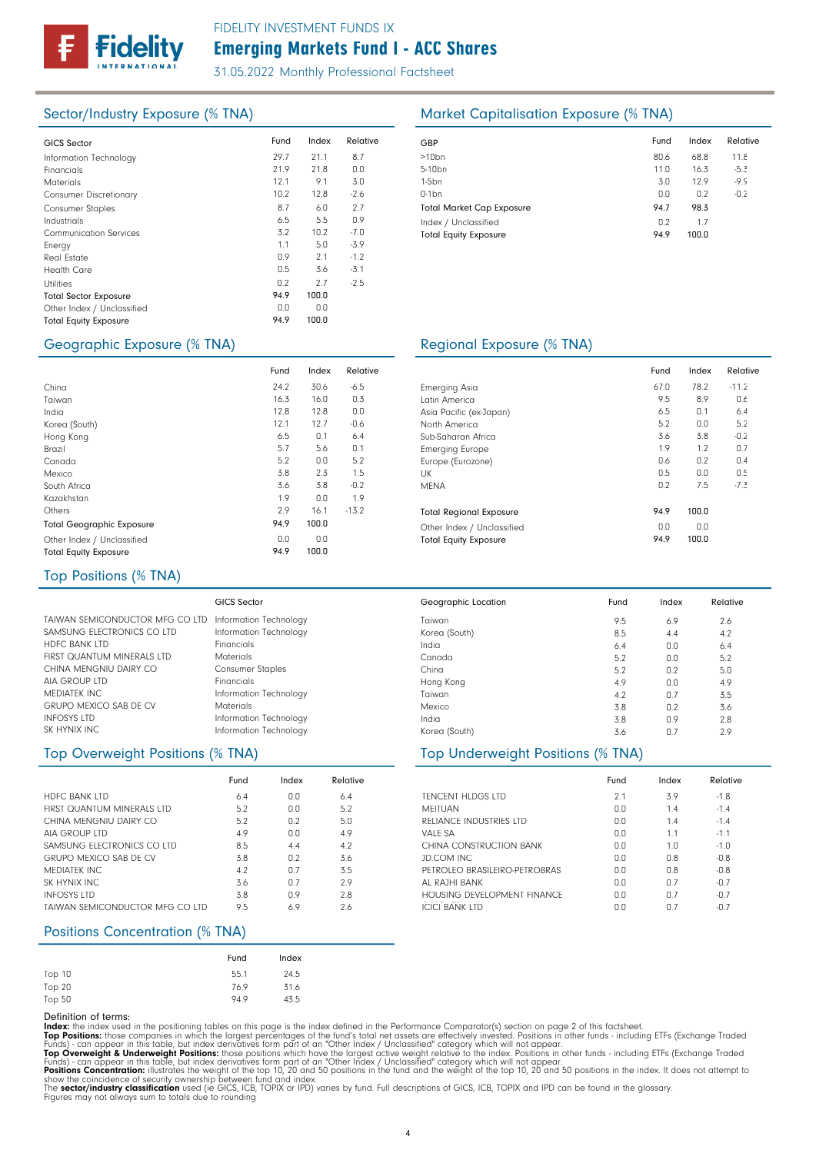

# Emerging Markets Fund I - ACC Shares FIDELITY INVESTMENT FUNDS IX

31.05.2022 Monthly Professional Factsheet

| <b>GICS Sector</b>            | Fund | Index | Relative | GBP              |
|-------------------------------|------|-------|----------|------------------|
| Information Technology        | 29.7 | 21.1  | 8.7      | >10 <sub>k</sub> |
| Financials                    | 21.9 | 21.8  | 0.0      | $5 - 10$         |
| <b>Materials</b>              | 12.1 | 9.1   | 3.0      | 1-5b             |
| <b>Consumer Discretionary</b> | 10.2 | 12.8  | $-2.6$   | $0-1b$           |
| <b>Consumer Staples</b>       | 8.7  | 6.0   | 2.7      | Tota             |
| Industrials                   | 6.5  | 5.5   | 0.9      | Inde             |
| <b>Communication Services</b> | 3.2  | 10.2  | $-7.0$   | Tota             |
| Energy                        | 1.1  | 5.0   | $-3.9$   |                  |
| <b>Real Estate</b>            | 0.9  | 2.1   | $-1.2$   |                  |
| <b>Health Care</b>            | 0.5  | 3.6   | $-3.1$   |                  |
| <b>Utilities</b>              | 0.2  | 2.7   | $-2.5$   |                  |
| <b>Total Sector Exposure</b>  | 94.9 | 100.0 |          |                  |
| Other Index / Unclassified    | 0.0  | 0.0   |          |                  |
| <b>Total Equity Exposure</b>  | 94.9 | 100.0 |          |                  |
|                               |      |       |          |                  |

## Sector/Industry Exposure (% TNA) Market Capitalisation Exposure (% TNA)

| GBP                              | Fund | Index | Relative |
|----------------------------------|------|-------|----------|
| $>10$ bn                         | 80.6 | 68.8  | 11.8     |
| 5-10 <sub>bn</sub>               | 11.0 | 16.3  | $-5.3$   |
| $1-5$ bn                         | 3.0  | 12.9  | $-9.9$   |
| $0-1$ bn                         | 0.0  | 0.2   | $-0.2$   |
| <b>Total Market Cap Exposure</b> | 94.7 | 98.3  |          |
| Index / Unclassified             | 0.2  | 1.7   |          |
| <b>Total Equity Exposure</b>     | 94.9 | 100.0 |          |

## Geographic Exposure (% TNA) Regional Exposure (% TNA)

|                                  | Fund | Index | Relative |  |
|----------------------------------|------|-------|----------|--|
| China                            | 24.2 | 30.6  | $-6.5$   |  |
| Taiwan                           | 16.3 | 16.0  | 0.3      |  |
| India                            | 12.8 | 12.8  | 0.0      |  |
| Korea (South)                    | 12.1 | 12.7  | $-0.6$   |  |
| Hong Kong                        | 6.5  | 0.1   | 6.4      |  |
| Brazil                           | 5.7  | 5.6   | 0.1      |  |
| Canada                           | 5.2  | 0.0   | 5.2      |  |
| Mexico                           | 3.8  | 2.3   | 1.5      |  |
| South Africa                     | 3.6  | 3.8   | $-0.2$   |  |
| Kazakhstan                       | 1.9  | 0.0   | 1.9      |  |
| Others                           | 2.9  | 16.1  | $-13.2$  |  |
| <b>Total Geographic Exposure</b> | 94.9 | 100.0 |          |  |
| Other Index / Unclassified       | 0.0  | 0.0   |          |  |
| <b>Total Equity Exposure</b>     | 94.9 | 100.0 |          |  |

#### Emerging Asia Latin America Asia Pacific (ex-Japan) North America Sub-Saharan Africa Emerging Europe Europe (Eurozone) UK MENA Total Regional Exposure Other Index / Unclassified Total Equity Exposure Fund Index Relative 67.0 78.2 -11.2 9.5 6.5 5.2 3.6 1.9 0.6 0.5 0.2 8.9 0.1 0.0 3.8 1.2 0.2 0.0 7.5 0.6 6.4 5.2 -0.2 0.7 0.4 0.5 -7.3  $94.9$  100.0 0.0 94.9 0.0 100.0

2.1 3.9 -1.8 Fund Index Relative

6.9 4.4 0.0 0.0 0.2  $0.0$ 0.7 0.2 0.9 0.7

Fund Index Relative

1.4 1.4 1.1 1.0 0.8 0.8 0.7 0.7 0.7

 $-1.4$ -1.4 -1.1 -1.0 -0.8 -0.8 -0.7 -0.7 -0.7

2.6 4.2 6.4 5.2 5.0 4.9 3.5 3.6 2.8 2.9

 $0.0$  $0.0$ 0.0 0.0 0.0  $0.0$  $0.0$ 0.0 0.0

9.5 8.5 6.4 5.2 5.2 4.9 4.2 3.8 3.8 3.6

#### Top Positions (% TNA)

| GICS Sector                                            |
|--------------------------------------------------------|
| TAIWAN SEMICONDUCTOR MFG CO LTD Information Technology |
| Information Technology                                 |
| Financials                                             |
| Materials                                              |
| <b>Consumer Staples</b>                                |
| Financials                                             |
| Information Technology                                 |
| Materials                                              |
| Information Technology                                 |
| Information Technology                                 |
|                                                        |

## Top Overweight Positions (% TNA) Top Underweight Positions (% TNA)

|                                 | Fund | Index | Relative |
|---------------------------------|------|-------|----------|
| <b>HDFC BANK LTD</b>            | 6.4  | 0.0   | 6.4      |
| FIRST QUANTUM MINERALS LTD      | 5.2  | 0.0   | 5.2      |
| CHINA MENGNIU DAIRY CO          | 5.2  | 0.2   | 5.0      |
| AIA GROUP LTD                   | 4.9  | 0.0   | 4.9      |
| SAMSUNG FLECTRONICS CO LTD      | 8.5  | 4.4   | 4.2      |
| <b>GRUPO MEXICO SAB DE CV</b>   | 3.8  | 0.2   | 3.6      |
| MEDIATEK INC.                   | 4.2  | 0.7   | 3.5      |
| SK HYNIX INC                    | 3.6  | 0.7   | 2.9      |
| <b>INFOSYS LTD</b>              | 3.8  | 0.9   | 2.8      |
| TAIWAN SEMICONDUCTOR MEG CO LTD | 9.5  | 6.9   | 2.6      |

## Positions Concentration (% TNA)

|        | Fund | Index |
|--------|------|-------|
| Top 10 | 55.1 | 24.5  |
| Top 20 | 76.9 | 31.6  |
| Top 50 | 94.9 | 43.5  |

#### Definition of terms:

Index: the index used in the positioning tables on this page is the index defined in the Performance Comparator(s) section on page 2 of this factsheet.

Top Positions: those companies in which the largest percentages of the fund's total net assets are effectively invested. Positions in other funds - including ETFs (Exchange Traded<br>Funds) - can appear in this table, but ind

Taiwan Korea (South) India Canada China Hong Kong Taiwan Mexico India Korea (South)

Geographic Location

TENCENT HLDGS LTD MEITUAN

VALE SA

JD.COM INC

AL RAJHI BANK

**ICICI BANK LTD** 

RELIANCE INDUSTRIES LTD

CHINA CONSTRUCTION BANK

PETROLEO BRASILEIRO-PETROBRAS

HOUSING DEVELOPMENT FINANCE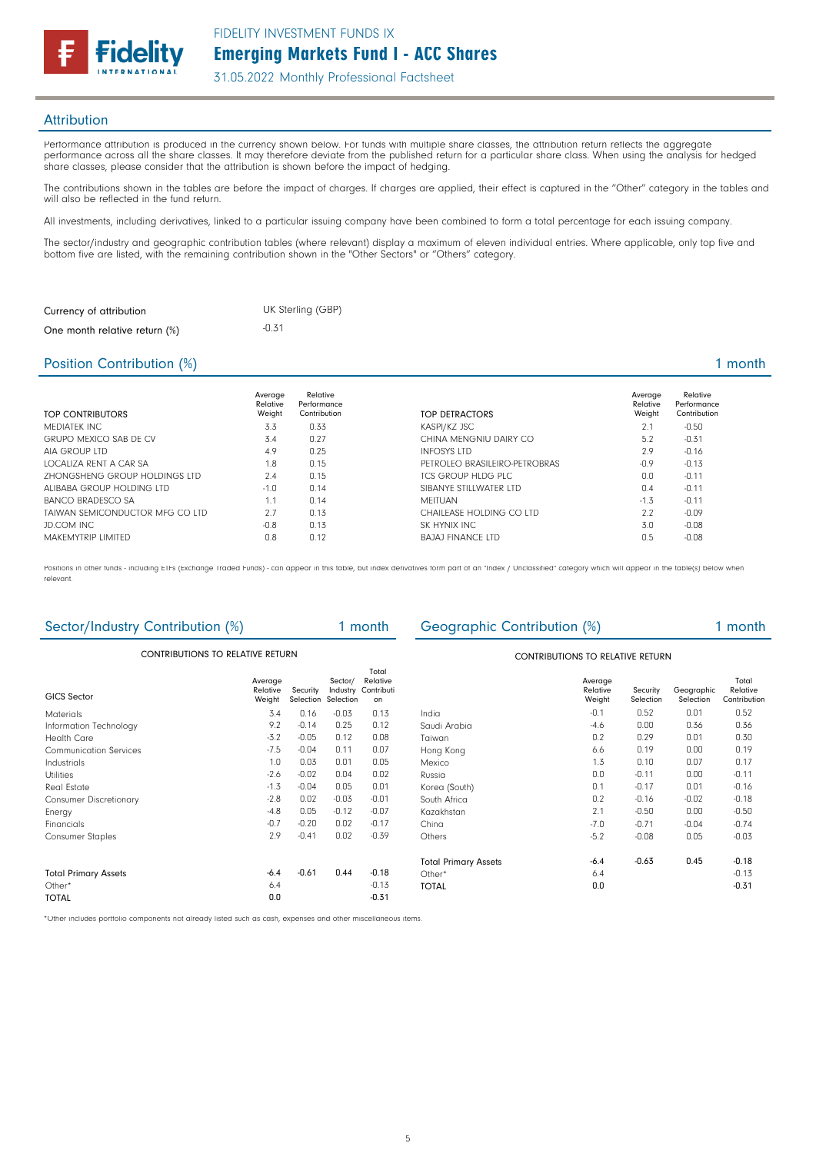

### **Attribution**

Performance attribution is produced in the currency shown below. For funds with multiple share classes, the attribution return reflects the aggregate performance across all the share classes. It may therefore deviate from the published return for a particular share class. When using the analysis for hedged share classes, please consider that the attribution is shown before the impact of hedging.

The contributions shown in the tables are before the impact of charges. If charges are applied, their effect is captured in the "Other" category in the tables and will also be reflected in the fund return.

All investments, including derivatives, linked to a particular issuing company have been combined to form a total percentage for each issuing company.

The sector/industry and geographic contribution tables (where relevant) display a maximum of eleven individual entries. Where applicable, only top five and bottom five are listed, with the remaining contribution shown in the "Other Sectors" or "Others" category.

| Currency of attribution       | UK Sterling (GBP) |
|-------------------------------|-------------------|
| One month relative return (%) | $-0.31$           |

#### Position Contribution (%) 2 and 2 and 2 and 2 and 2 and 2 and 2 and 2 and 2 and 2 and 2 and 2 and 2 and 2 and 2 and 2 and 2 and 2 and 2 and 2 and 2 and 2 and 2 and 2 and 2 and 2 and 2 and 2 and 2 and 2 and 2 and 2 and 2 an

| <b>TOP CONTRIBUTORS</b>              | Average<br>Relative<br>Weight | Relative<br>Performance<br>Contribution | TOP DETRACTORS                | Average<br>Relative<br>Weight | Relative<br>Performance<br>Contribution |
|--------------------------------------|-------------------------------|-----------------------------------------|-------------------------------|-------------------------------|-----------------------------------------|
| MEDIATEK INC.                        | 3.3                           | 0.33                                    | KASPI/KZ JSC                  | 2.1                           | $-0.50$                                 |
| <b>GRUPO MEXICO SAB DE CV</b>        | 3.4                           | 0.27                                    | CHINA MENGNIU DAIRY CO        | 5.2                           | $-0.31$                                 |
| AIA GROUP LTD                        | 4.9                           | 0.25                                    | <b>INFOSYS LTD</b>            | 2.9                           | $-0.16$                                 |
| LOCALIZA RENT A CAR SA               | 1.8                           | 0.15                                    | PETROLEO BRASILEIRO-PETROBRAS | $-0.9$                        | $-0.13$                                 |
| <b>7HONGSHENG GROUP HOLDINGS LTD</b> | 7.4                           | 0.15                                    | TCS GROUP HLDG PLC            | 0.0                           | $-0.11$                                 |
| ALIBABA GROUP HOLDING LTD            | $-1.0$                        | 0.14                                    | SIBANYE STILLWATER LTD        | 0.4                           | $-0.11$                                 |
| <b>BANCO BRADESCO SA</b>             | 1.1                           | 0.14                                    | <b>MEITUAN</b>                | $-1.3$                        | $-0.11$                                 |
| TAIWAN SEMICONDUCTOR MFG CO LTD      | 2.7                           | 0.13                                    | CHAILEASE HOLDING CO LTD      | 2.2                           | $-0.09$                                 |
| JD.COM INC                           | $-0.8$                        | 0.13                                    | SK HYNIX INC                  | 3.0                           | $-0.08$                                 |
| MAKEMYTRIP LIMITED                   | 0.8                           | 0.12                                    | <b>BAJAJ FINANCE LTD</b>      | 0.5                           | $-0.08$                                 |

Positions in other funds - including ETFs (Exchange Traded Funds) - can appear in this table, but index derivatives form part of an "Index / Unclassified" category which will appear in the table(s) below when relevant.

| Sector/Industry Contribution (%)        |                               |          | 1 month                                    |                                       | Geographic Contribution (%)             |                               |                       | 1 month                 |                                   |  |
|-----------------------------------------|-------------------------------|----------|--------------------------------------------|---------------------------------------|-----------------------------------------|-------------------------------|-----------------------|-------------------------|-----------------------------------|--|
| <b>CONTRIBUTIONS TO RELATIVE RETURN</b> |                               |          |                                            |                                       | <b>CONTRIBUTIONS TO RELATIVE RETURN</b> |                               |                       |                         |                                   |  |
| <b>GICS Sector</b>                      | Average<br>Relative<br>Weight | Security | Sector/<br>Industry<br>Selection Selection | Total<br>Relative<br>Contributi<br>on |                                         | Average<br>Relative<br>Weight | Security<br>Selection | Geographic<br>Selection | Total<br>Relative<br>Contribution |  |
| <b>Materials</b>                        | 3.4                           | 0.16     | $-0.03$                                    | 0.13                                  | India                                   | $-0.1$                        | 0.52                  | 0.01                    | 0.52                              |  |
| Information Technology                  | 9.2                           | $-0.14$  | 0.25                                       | 0.12                                  | Saudi Arabia                            | $-4.6$                        | 0.00                  | 0.36                    | 0.36                              |  |
| <b>Health Care</b>                      | $-3.2$                        | $-0.05$  | 0.12                                       | 0.08                                  | Taiwan                                  | 0.2                           | 0.29                  | 0.01                    | 0.30                              |  |
| <b>Communication Services</b>           | $-7.5$                        | $-0.04$  | 0.11                                       | 0.07                                  | Hong Kong                               | 6.6                           | 0.19                  | 0.00                    | 0.19                              |  |
| Industrials                             | 1.0                           | 0.03     | 0.01                                       | 0.05                                  | Mexico                                  | 1.3                           | 0.10                  | 0.07                    | 0.17                              |  |
| <b>Utilities</b>                        | $-2.6$                        | $-0.02$  | 0.04                                       | 0.02                                  | Russia                                  | 0.0                           | $-0.11$               | 0.00                    | $-0.11$                           |  |
| Real Estate                             | $-1.3$                        | $-0.04$  | 0.05                                       | 0.01                                  | Korea (South)                           | 0.1                           | $-0.17$               | 0.01                    | $-0.16$                           |  |
| <b>Consumer Discretionary</b>           | $-2.8$                        | 0.02     | $-0.03$                                    | $-0.01$                               | South Africa                            | 0.2                           | $-0.16$               | $-0.02$                 | $-0.18$                           |  |
| Energy                                  | $-4.8$                        | 0.05     | $-0.12$                                    | $-0.07$                               | Kazakhstan                              | 2.1                           | $-0.50$               | 0.00                    | $-0.50$                           |  |
| Financials                              | $-0.7$                        | $-0.20$  | 0.02                                       | $-0.17$                               | China                                   | $-7.0$                        | $-0.71$               | $-0.04$                 | $-0.74$                           |  |
| <b>Consumer Staples</b>                 | 2.9                           | $-0.41$  | 0.02                                       | $-0.39$                               | Others                                  | $-5.2$                        | $-0.08$               | 0.05                    | $-0.03$                           |  |
|                                         |                               |          |                                            |                                       | <b>Total Primary Assets</b>             | $-6.4$                        | $-0.63$               | 0.45                    | $-0.18$                           |  |
| <b>Total Primary Assets</b>             | $-6.4$                        | $-0.61$  | 0.44                                       | $-0.18$                               | Other*                                  | 6.4                           |                       |                         | $-0.13$                           |  |
| Other*                                  | 6.4                           |          |                                            | $-0.13$                               | <b>TOTAL</b>                            | 0.0                           |                       |                         | $-0.31$                           |  |
| <b>TOTAL</b>                            | 0.0                           |          |                                            | $-0.31$                               |                                         |                               |                       |                         |                                   |  |

\*Other includes portfolio components not already listed such as cash, expenses and other miscellaneous items.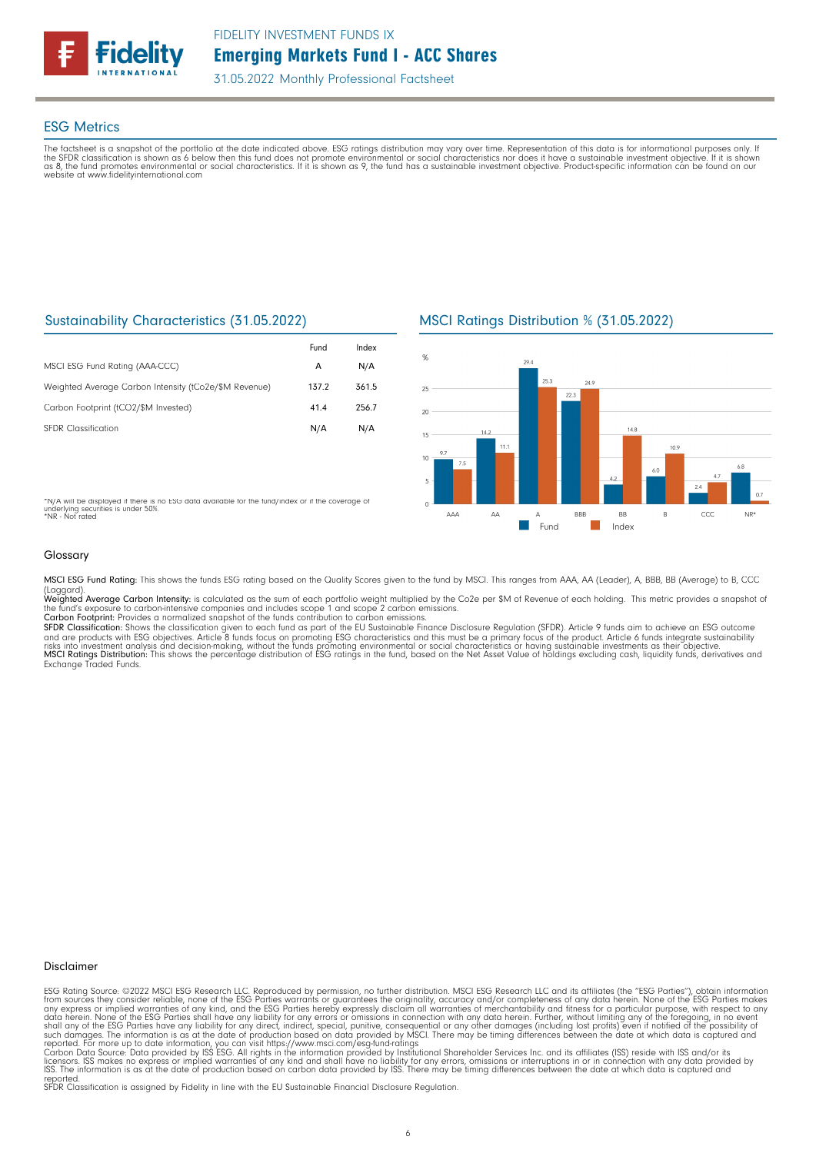

31.05.2022 Monthly Professional Factsheet

#### ESG Metrics

The factsheet is a snapshot of the portfolio at the date indicated above. ESG ratings distribution may vary over time. Representation of this data is for informational purposes only. If<br>the SFDR classification is shown as website at www.fidelityinternational.com

## Sustainability Characteristics (31.05.2022)

|                                                       | Fund  | Index |
|-------------------------------------------------------|-------|-------|
| MSCI ESG Fund Rating (AAA-CCC)                        | A     | N/A   |
| Weighted Average Carbon Intensity (tCo2e/\$M Revenue) | 137.2 | 361.5 |
| Carbon Footprint (tCO2/\$M Invested)                  | 41.4  | 256.7 |
| <b>SFDR Classification</b>                            | N/A   | N/A   |

\*N/A will be displayed if there is no ESG data available for the fund/index or if the coverage of underlying securities is under 50%. \*NR - Not rated

## MSCI Ratings Distribution % (31.05.2022)



#### Glossary

MSCI ESG Fund Rating: This shows the funds ESG rating based on the Quality Scores given to the fund by MSCI. This ranges from AAA, AA (Leader), A, BBB, BB (Average) to B, CCC

(Laggard).<br>**Weighted Average Carbon Intensity**: is calculated as the sum of each portfolio weight multiplied by the Co2e per \$M of Revenue of each holding. This metric provides a snapshot o

the fund's exposure to carbon-intensive companies and includes scope 1 and scope 2 carbon emissions.<br>**Carbon Footprint**: Provides a normalized snapshot of the funds contribution to carbon emissions.<br>**SFDR Classification:** and are products with ESG objectives. Article 8 funds focus on promoting ESG characteristics and this must be a primary focus of the product. Article 6 funds integrate sustainability<br>risks into investment analysis and deci

#### Disclaimer

ESG Rating Source: ©2022 MSCI ESG Research LLC. Reproduced by permission, no further distribution. MSCI ESG Research LLC and its affiliates (the "ESG Parties"), obtain information<br>from sources they consider reliable, none

reported. SFDR Classification is assigned by Fidelity in line with the EU Sustainable Financial Disclosure Regulation.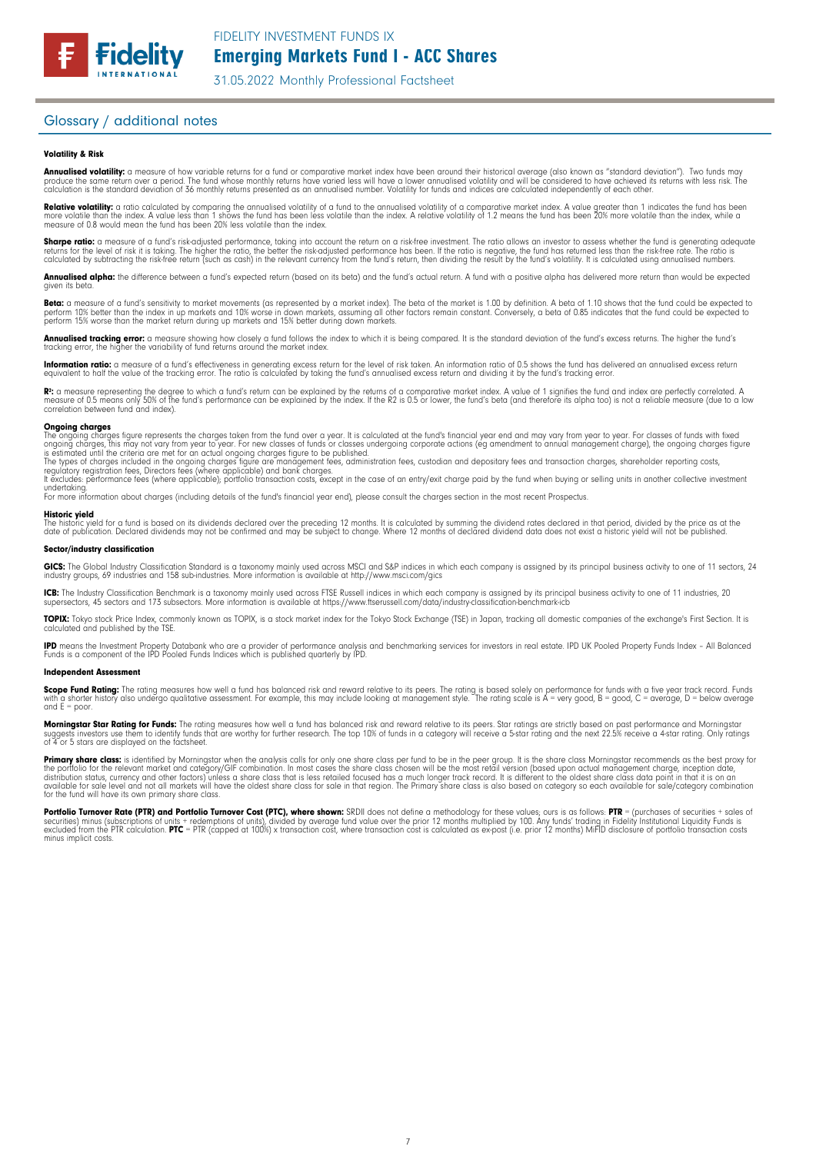31.05.2022 Monthly Professional Factsheet

### Glossary / additional notes

#### Volatility & Risk

**Annualised volatility:** a measure of how variable returns for a fund or comparative market index have been around their historical average (also known as "standard deviation"). Two funds may<br>produce the same return over a calculation is the standard deviation of 36 monthly returns presented as an annualised number. Volatility for funds and indices are calculated independently of each other

**Relative volatility:** a ratio calculated by comparing the annualised volatility of a fund to the annualised volatility of a comparative market index. A value greater than 1 indicates the fund has been<br>more volatile than t measure of 0.8 would mean the fund has been 20% less volatile than the index.

**Sharpe ratio:** a measure of a fund's risk-adjusted performance, taking into account the return on a risk-free investment. The ratio allows an investor to assess whether the fund is generating adequate the tund is generati

Annualised alpha: the difference between a fund's expected return (based on its beta) and the fund's actual return. A fund with a positive alpha has delivered more return than would be expected given its beta

**Beta:** a measure of a fund's sensitivity to market movements (as represented by a market index). The beta of the market is 1.00 by definition. A beta of 1.10 shows that the fund could be expected to<br>perform 10% better tha perform 15% worse than the market return during up markets and 15% better during down markets.

**Annualised tracking error:** a measure showing how closely a tund tollows the index to which it is being compared. It is the standard deviation of the fund's excess returns. The higher the fund's<br>tracking error, the higher

**Information ratio:** a measure ot a tund's eftectiveness in generating excess return for the level of risk taken. An information ratio of U.5 shows the fund has delivered an annualised excess return<br>equivalent to half the

Rº: a measure representing the degree to which a fund's return can be explained by the returns of a comparative market index. A value of 1 signifies the fund and index are perfectly correlated. A<br>measure of 0.5 means only correlation between fund and index).

**Ongoing charges** figure represents the charges taken from the fund over a year. It is calculated at the fund's financial year end and may vary from year to year. For classes of funds with fixed ongoing charges figure repr

For more information about charges (including details of the fund's financial year end), please consult the charges section in the most recent Prospectus.

**Historic yield**<br>The historic yield for a fund is based on its dividends declared over the preceding 12 months. It is calculated by summing the dividend rates declared in that period, divided by the price as at the date of publication. Declared dividends may not be confirmed and may be subject to change. Where 12 months of declared dividend data does not exist a historic yield will not be published.

#### Sector/industry classification

GICS: The Global Industry Classification Standard is a taxonomy mainly used across MSCI and S&P indices in which each company is assigned by its principal business activity to one of 11 sectors, 24 industry groups, 69 industries and 158 sub-industries. More information is available at http://www.msci.com/gics

**ICB:** The Industry Classitication Benchmark is a taxonomy mainly used across FTSE Russell indices in which each company is assigned by its principal business activity to one of 11 industries, 20<br>supersectors, 45 sectors a

TOPIX: Tokyo stock Price Index, commonly known as TOPIX, is a stock market index for the Tokyo Stock Exchange (TSE) in Japan, tracking all domestic companies of the exchange's First Section. It is calculated and published by the TSE.

**IPD** means the Investment Property Databank who are a provider of performance analysis and benchmarking services for investors in real estate. IPD UK Pooled Property Funds Index - All Balanced<br>Funds is a component of the

#### Independent Assessment

**Scope Fund Rating:** The rating measures how well a fund has balanced risk and reward relative to its peers. The rating is based solely on performance for funds with a five year track record. Funds<br>with a shorter history a and  $E = poor$ 

**Morningstar Star Rating for Funds:** The rating measures how well a tund has balanced risk and reward relative to its peers. Star ratings are strictly based on past performance and Morningstar<br>suggests investors use them t

**Primary share class:** is identified by Morningstar when the analysis calls for only one share class per fund to be in the peer group. It is the share class Morningstar recommends as the best proxy for the best proxy for c for the fund will have its own primary share class.

Portfolio Turnover Rate (PTR) and Portfolio Turnover Cost (PTC), where shown: SRDII does not define a methodology for these values; ours is as follows: PTR = (purchases of securities + sales of<br>securities) minus (subscript minus implicit costs.